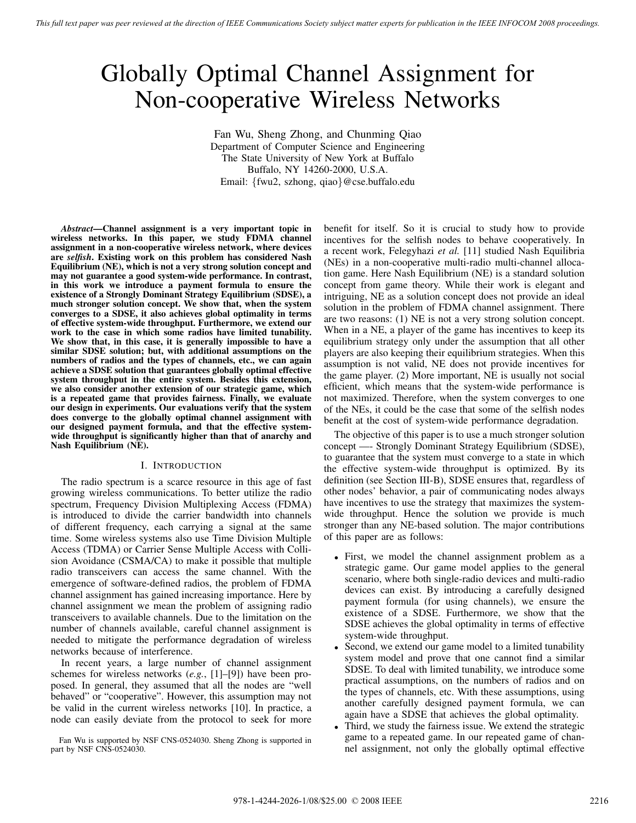# Globally Optimal Channel Assignment for Non-cooperative Wireless Networks

Fan Wu, Sheng Zhong, and Chunming Qiao Department of Computer Science and Engineering The State University of New York at Buffalo Buffalo, NY 14260-2000, U.S.A. Email: {fwu2, szhong, qiao}@cse.buffalo.edu

*Abstract***—Channel assignment is a very important topic in wireless networks. In this paper, we study FDMA channel assignment in a non-cooperative wireless network, where devices are** *selfish***. Existing work on this problem has considered Nash Equilibrium (NE), which is not a very strong solution concept and may not guarantee a good system-wide performance. In contrast, in this work we introduce a payment formula to ensure the existence of a Strongly Dominant Strategy Equilibrium (SDSE), a much stronger solution concept. We show that, when the system converges to a SDSE, it also achieves global optimality in terms of effective system-wide throughput. Furthermore, we extend our work to the case in which some radios have limited tunability. We show that, in this case, it is generally impossible to have a similar SDSE solution; but, with additional assumptions on the numbers of radios and the types of channels, etc., we can again achieve a SDSE solution that guarantees globally optimal effective system throughput in the entire system. Besides this extension, we also consider another extension of our strategic game, which is a repeated game that provides fairness. Finally, we evaluate our design in experiments. Our evaluations verify that the system does converge to the globally optimal channel assignment with our designed payment formula, and that the effective systemwide throughput is significantly higher than that of anarchy and Nash Equilibrium (NE).**

# I. INTRODUCTION

The radio spectrum is a scarce resource in this age of fast growing wireless communications. To better utilize the radio spectrum, Frequency Division Multiplexing Access (FDMA) is introduced to divide the carrier bandwidth into channels of different frequency, each carrying a signal at the same time. Some wireless systems also use Time Division Multiple Access (TDMA) or Carrier Sense Multiple Access with Collision Avoidance (CSMA/CA) to make it possible that multiple radio transceivers can access the same channel. With the emergence of software-defined radios, the problem of FDMA channel assignment has gained increasing importance. Here by channel assignment we mean the problem of assigning radio transceivers to available channels. Due to the limitation on the number of channels available, careful channel assignment is needed to mitigate the performance degradation of wireless networks because of interference.

In recent years, a large number of channel assignment schemes for wireless networks (*e.g.*, [1]–[9]) have been proposed. In general, they assumed that all the nodes are "well behaved" or "cooperative". However, this assumption may not be valid in the current wireless networks [10]. In practice, a node can easily deviate from the protocol to seek for more

Fan Wu is supported by NSF CNS-0524030. Sheng Zhong is supported in part by NSF CNS-0524030.

benefit for itself. So it is crucial to study how to provide incentives for the selfish nodes to behave cooperatively. In a recent work, Felegyhazi *et al.* [11] studied Nash Equilibria (NEs) in a non-cooperative multi-radio multi-channel allocation game. Here Nash Equilibrium (NE) is a standard solution concept from game theory. While their work is elegant and intriguing, NE as a solution concept does not provide an ideal solution in the problem of FDMA channel assignment. There are two reasons: (1) NE is not a very strong solution concept. When in a NE, a player of the game has incentives to keep its equilibrium strategy only under the assumption that all other players are also keeping their equilibrium strategies. When this assumption is not valid, NE does not provide incentives for the game player. (2) More important, NE is usually not social efficient, which means that the system-wide performance is not maximized. Therefore, when the system converges to one of the NEs, it could be the case that some of the selfish nodes benefit at the cost of system-wide performance degradation.

The objective of this paper is to use a much stronger solution concept —- Strongly Dominant Strategy Equilibrium (SDSE), to guarantee that the system must converge to a state in which the effective system-wide throughput is optimized. By its definition (see Section III-B), SDSE ensures that, regardless of other nodes' behavior, a pair of communicating nodes always have incentives to use the strategy that maximizes the systemwide throughput. Hence the solution we provide is much stronger than any NE-based solution. The major contributions of this paper are as follows:

- First, we model the channel assignment problem as a strategic game. Our game model applies to the general scenario, where both single-radio devices and multi-radio devices can exist. By introducing a carefully designed payment formula (for using channels), we ensure the existence of a SDSE. Furthermore, we show that the SDSE achieves the global optimality in terms of effective system-wide throughput.
- Second, we extend our game model to a limited tunability system model and prove that one cannot find a similar SDSE. To deal with limited tunability, we introduce some practical assumptions, on the numbers of radios and on the types of channels, etc. With these assumptions, using another carefully designed payment formula, we can again have a SDSE that achieves the global optimality.
- Third, we study the fairness issue. We extend the strategic game to a repeated game. In our repeated game of channel assignment, not only the globally optimal effective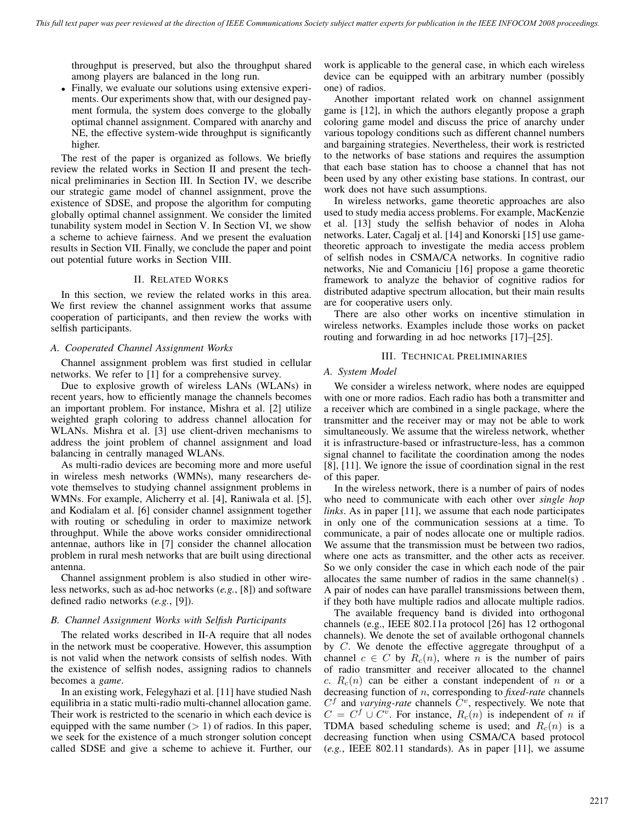throughput is preserved, but also the throughput shared among players are balanced in the long run.

• Finally, we evaluate our solutions using extensive experiments. Our experiments show that, with our designed payment formula, the system does converge to the globally optimal channel assignment. Compared with anarchy and NE, the effective system-wide throughput is significantly higher.

The rest of the paper is organized as follows. We briefly review the related works in Section II and present the technical preliminaries in Section III. In Section IV, we describe our strategic game model of channel assignment, prove the existence of SDSE, and propose the algorithm for computing globally optimal channel assignment. We consider the limited tunability system model in Section V. In Section VI, we show a scheme to achieve fairness. And we present the evaluation results in Section VII. Finally, we conclude the paper and point out potential future works in Section VIII.

## II. RELATED WORKS

In this section, we review the related works in this area. We first review the channel assignment works that assume cooperation of participants, and then review the works with selfish participants.

## *A. Cooperated Channel Assignment Works*

Channel assignment problem was first studied in cellular networks. We refer to [1] for a comprehensive survey.

Due to explosive growth of wireless LANs (WLANs) in recent years, how to efficiently manage the channels becomes an important problem. For instance, Mishra et al. [2] utilize weighted graph coloring to address channel allocation for WLANs. Mishra et al. [3] use client-driven mechanisms to address the joint problem of channel assignment and load balancing in centrally managed WLANs.

As multi-radio devices are becoming more and more useful in wireless mesh networks (WMNs), many researchers devote themselves to studying channel assignment problems in WMNs. For example, Alicherry et al. [4], Raniwala et al. [5], and Kodialam et al. [6] consider channel assignment together with routing or scheduling in order to maximize network throughput. While the above works consider omnidirectional antennae, authors like in [7] consider the channel allocation problem in rural mesh networks that are built using directional antenna.

Channel assignment problem is also studied in other wireless networks, such as ad-hoc networks (*e.g.*, [8]) and software defined radio networks (*e.g.*, [9]).

# *B. Channel Assignment Works with Selfish Participants*

The related works described in II-A require that all nodes in the network must be cooperative. However, this assumption is not valid when the network consists of selfish nodes. With the existence of selfish nodes, assigning radios to channels becomes a *game*.

In an existing work, Felegyhazi et al. [11] have studied Nash equilibria in a static multi-radio multi-channel allocation game. Their work is restricted to the scenario in which each device is equipped with the same number  $(> 1)$  of radios. In this paper, we seek for the existence of a much stronger solution concept called SDSE and give a scheme to achieve it. Further, our work is applicable to the general case, in which each wireless device can be equipped with an arbitrary number (possibly one) of radios.

Another important related work on channel assignment game is [12], in which the authors elegantly propose a graph coloring game model and discuss the price of anarchy under various topology conditions such as different channel numbers and bargaining strategies. Nevertheless, their work is restricted to the networks of base stations and requires the assumption that each base station has to choose a channel that has not been used by any other existing base stations. In contrast, our work does not have such assumptions.

In wireless networks, game theoretic approaches are also used to study media access problems. For example, MacKenzie et al. [13] study the selfish behavior of nodes in Aloha networks. Later, Cagalj et al. [14] and Konorski [15] use gametheoretic approach to investigate the media access problem of selfish nodes in CSMA/CA networks. In cognitive radio networks, Nie and Comaniciu [16] propose a game theoretic framework to analyze the behavior of cognitive radios for distributed adaptive spectrum allocation, but their main results are for cooperative users only.

There are also other works on incentive stimulation in wireless networks. Examples include those works on packet routing and forwarding in ad hoc networks [17]–[25].

## III. TECHNICAL PRELIMINARIES

## *A. System Model*

We consider a wireless network, where nodes are equipped with one or more radios. Each radio has both a transmitter and a receiver which are combined in a single package, where the transmitter and the receiver may or may not be able to work simultaneously. We assume that the wireless network, whether it is infrastructure-based or infrastructure-less, has a common signal channel to facilitate the coordination among the nodes [8], [11]. We ignore the issue of coordination signal in the rest of this paper.

In the wireless network, there is a number of pairs of nodes who need to communicate with each other over *single hop links*. As in paper [11], we assume that each node participates in only one of the communication sessions at a time. To communicate, a pair of nodes allocate one or multiple radios. We assume that the transmission must be between two radios, where one acts as transmitter, and the other acts as receiver. So we only consider the case in which each node of the pair allocates the same number of radios in the same channel(s) . A pair of nodes can have parallel transmissions between them, if they both have multiple radios and allocate multiple radios.

The available frequency band is divided into orthogonal channels (e.g., IEEE 802.11a protocol [26] has 12 orthogonal channels). We denote the set of available orthogonal channels by C. We denote the effective aggregate throughput of a channel  $c \in C$  by  $R_c(n)$ , where n is the number of pairs of radio transmitter and receiver allocated to the channel c.  $R_c(n)$  can be either a constant independent of n or a decreasing function of n, corresponding to *fixed-rate* channels  $C<sup>f</sup>$  and *varying-rate* channels  $C<sup>v</sup>$ , respectively. We note that  $C = C<sup>f</sup> \cup C<sup>v</sup>$ . For instance,  $R<sub>c</sub>(n)$  is independent of n if TDMA based scheduling scheme is used; and  $R_c(n)$  is a decreasing function when using CSMA/CA based protocol (*e.g.*, IEEE 802.11 standards). As in paper [11], we assume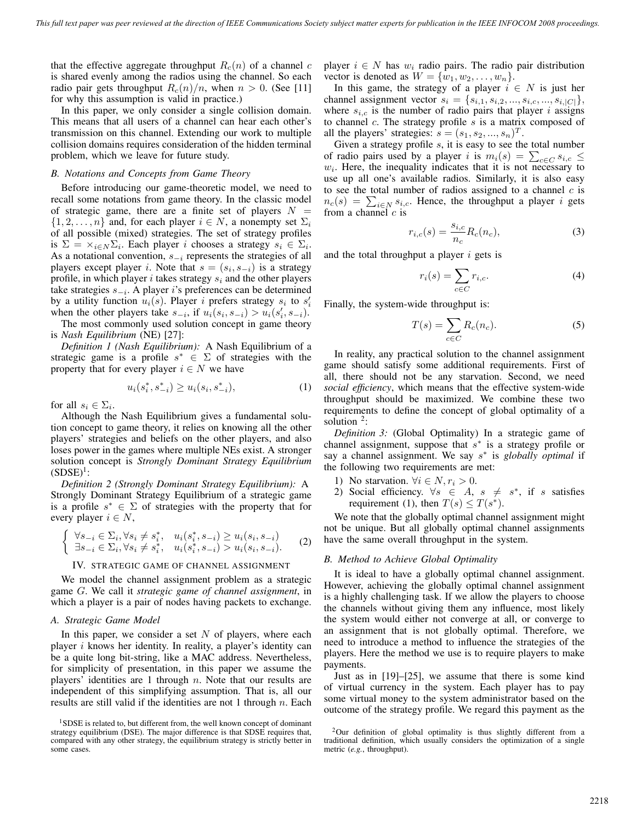that the effective aggregate throughput  $R_c(n)$  of a channel c is shared evenly among the radios using the channel. So each radio pair gets throughput  $R_c(n)/n$ , when  $n > 0$ . (See [11] for why this assumption is valid in practice.)

In this paper, we only consider a single collision domain. This means that all users of a channel can hear each other's transmission on this channel. Extending our work to multiple collision domains requires consideration of the hidden terminal problem, which we leave for future study.

#### *B. Notations and Concepts from Game Theory*

Before introducing our game-theoretic model, we need to recall some notations from game theory. In the classic model of strategic game, there are a finite set of players  $N =$  $\{1, 2, \ldots, n\}$  and, for each player  $i \in N$ , a nonempty set  $\Sigma_i$ of all possible (mixed) strategies. The set of strategy profiles is  $\Sigma = \times_{i \in N} \Sigma_i$ . Each player *i* chooses a strategy  $s_i \in \Sigma_i$ . As a notational convention, s−*<sup>i</sup>* represents the strategies of all players except player *i*. Note that  $s = (s_i, s_{-i})$  is a strategy profile, in which player i takes strategy s*<sup>i</sup>* and the other players take strategies s−*<sup>i</sup>*. A player i's preferences can be determined by a utility function  $u_i(s)$ . Player *i* prefers strategy  $s_i$  to  $s'_i$ when the other players take  $s_{-i}$ , if  $u_i(s_i, s_{-i}) > u_i(s'_i, s_{-i})$ .

The most commonly used solution concept in game theory is *Nash Equilibrium* (NE) [27]:

*Definition 1 (Nash Equilibrium):* A Nash Equilibrium of a strategic game is a profile  $s^* \in \Sigma$  of strategies with the property that for every player  $i \in N$  we have

$$
u_i(s_i^*, s_{-i}^*) \ge u_i(s_i, s_{-i}^*), \tag{1}
$$

for all  $s_i \in \Sigma_i$ .

Although the Nash Equilibrium gives a fundamental solution concept to game theory, it relies on knowing all the other players' strategies and beliefs on the other players, and also loses power in the games where multiple NEs exist. A stronger solution concept is *Strongly Dominant Strategy Equilibrium*  $(SDSE)^1$ :

*Definition 2 (Strongly Dominant Strategy Equilibrium):* A Strongly Dominant Strategy Equilibrium of a strategic game is a profile  $s^* \in \Sigma$  of strategies with the property that for every player  $i \in N$ ,

$$
\begin{cases} \forall s_{-i} \in \Sigma_i, \forall s_i \neq s_i^*, & u_i(s_i^*, s_{-i}) \ge u_i(s_i, s_{-i}) \\ \exists s_{-i} \in \Sigma_i, \forall s_i \neq s_i^*, & u_i(s_i^*, s_{-i}) > u_i(s_i, s_{-i}). \end{cases} (2)
$$

## IV. STRATEGIC GAME OF CHANNEL ASSIGNMENT

We model the channel assignment problem as a strategic game G. We call it *strategic game of channel assignment*, in which a player is a pair of nodes having packets to exchange.

### *A. Strategic Game Model*

In this paper, we consider a set  $N$  of players, where each player  $i$  knows her identity. In reality, a player's identity can be a quite long bit-string, like a MAC address. Nevertheless, for simplicity of presentation, in this paper we assume the players' identities are 1 through  $n$ . Note that our results are independent of this simplifying assumption. That is, all our results are still valid if the identities are not 1 through  $n$ . Each

player  $i \in N$  has  $w_i$  radio pairs. The radio pair distribution vector is denoted as  $W = \{w_1, w_2, \dots, w_n\}.$ 

In this game, the strategy of a player  $i \in N$  is just her channel assignment vector  $s_i = \{s_{i,1}, s_{i,2}, ..., s_{i,c}, ..., s_{i,|C|}\},$ where  $s_{i,c}$  is the number of radio pairs that player i assigns to channel  $c$ . The strategy profile  $s$  is a matrix composed of all the players' strategies:  $s = (s_1, s_2, ..., s_n)^T$ .

Given a strategy profile s, it is easy to see the total number of radio pairs used by a player i is  $m_i(s) = \sum_{c \in C} s_{i,c} \le$  $w<sub>i</sub>$ . Here, the inequality indicates that it is not necessary to use up all one's available radios. Similarly, it is also easy to see the total number of radios assigned to a channel  $c$  is  $n_c(s) = \sum_{i \in N} s_{i,c}$ . Hence, the throughput a player *i* gets from a channel  $c$  is

$$
r_{i,c}(s) = \frac{s_{i,c}}{n_c} R_c(n_c),
$$
\n(3)

and the total throughput a player  $i$  gets is

$$
r_i(s) = \sum_{c \in C} r_{i,c}.\tag{4}
$$

Finally, the system-wide throughput is:

$$
T(s) = \sum_{c \in C} R_c(n_c). \tag{5}
$$

In reality, any practical solution to the channel assignment game should satisfy some additional requirements. First of all, there should not be any starvation. Second, we need *social efficiency*, which means that the effective system-wide throughput should be maximized. We combine these two requirements to define the concept of global optimality of a solution  $2$ :

*Definition 3:* (Global Optimality) In a strategic game of channel assignment, suppose that  $s^*$  is a strategy profile or say a channel assignment. We say s<sup>∗</sup> is *globally optimal* if the following two requirements are met:

- 1) No starvation.  $\forall i \in N, r_i > 0$ .
- 2) Social efficiency.  $\forall s \in A, s \neq s^*$ , if s satisfies requirement (1), then  $T(s) \leq T(s^*)$ .

We note that the globally optimal channel assignment might not be unique. But all globally optimal channel assignments have the same overall throughput in the system.

#### *B. Method to Achieve Global Optimality*

It is ideal to have a globally optimal channel assignment. However, achieving the globally optimal channel assignment is a highly challenging task. If we allow the players to choose the channels without giving them any influence, most likely the system would either not converge at all, or converge to an assignment that is not globally optimal. Therefore, we need to introduce a method to influence the strategies of the players. Here the method we use is to require players to make payments.

Just as in [19]–[25], we assume that there is some kind of virtual currency in the system. Each player has to pay some virtual money to the system administrator based on the outcome of the strategy profile. We regard this payment as the

<sup>&</sup>lt;sup>1</sup>SDSE is related to, but different from, the well known concept of dominant strategy equilibrium (DSE). The major difference is that SDSE requires that, compared with any other strategy, the equilibrium strategy is strictly better in some cases.

<sup>&</sup>lt;sup>2</sup>Our definition of global optimality is thus slightly different from a traditional definition, which usually considers the optimization of a single metric (*e.g.*, throughput).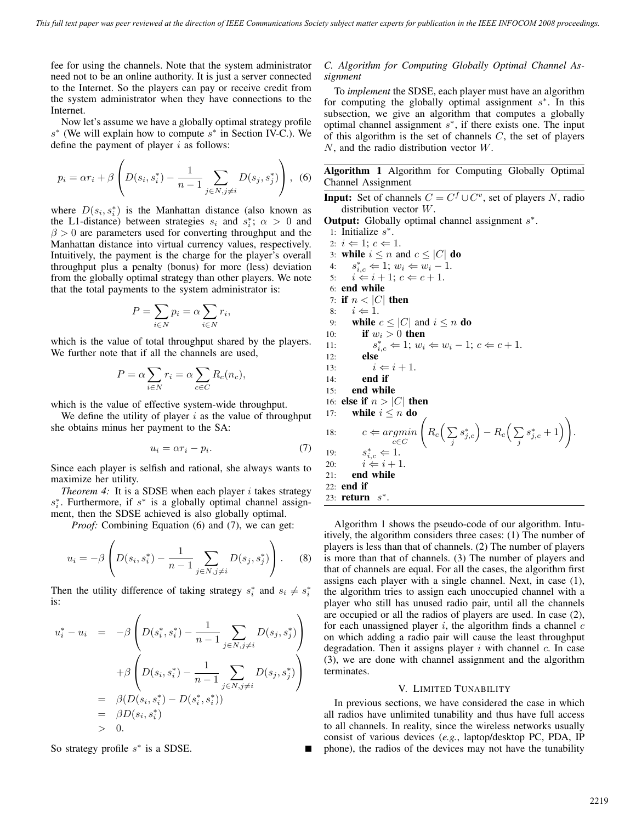fee for using the channels. Note that the system administrator need not to be an online authority. It is just a server connected to the Internet. So the players can pay or receive credit from the system administrator when they have connections to the Internet.

Now let's assume we have a globally optimal strategy profile  $s^*$  (We will explain how to compute  $s^*$  in Section IV-C.). We define the payment of player  $i$  as follows:

$$
p_i = \alpha r_i + \beta \left( D(s_i, s_i^*) - \frac{1}{n-1} \sum_{j \in N, j \neq i} D(s_j, s_j^*) \right), \tag{6}
$$

where  $D(s_i, s_i^*)$  is the Manhattan distance (also known as the L1-distance) between strategies  $s_i$  and  $s_i^*$ ;  $\alpha > 0$  and  $\beta > 0$  are parameters used for converting throughput and the Manhattan distance into virtual currency values, respectively. Intuitively, the payment is the charge for the player's overall throughput plus a penalty (bonus) for more (less) deviation from the globally optimal strategy than other players. We note that the total payments to the system administrator is:

$$
P = \sum_{i \in N} p_i = \alpha \sum_{i \in N} r_i,
$$

which is the value of total throughput shared by the players. We further note that if all the channels are used,

$$
P = \alpha \sum_{i \in N} r_i = \alpha \sum_{c \in C} R_c(n_c),
$$

which is the value of effective system-wide throughput.

We define the utility of player  $i$  as the value of throughput she obtains minus her payment to the SA:

$$
u_i = \alpha r_i - p_i. \tag{7}
$$

Since each player is selfish and rational, she always wants to maximize her utility.

*Theorem 4:* It is a SDSE when each player  $i$  takes strategy s<sup>∗</sup><sub>i</sub>. Furthermore, if s<sup>∗</sup> is a globally optimal channel assignment, then the SDSE achieved is also globally optimal.

*Proof:* Combining Equation (6) and (7), we can get:

$$
u_i = -\beta \left( D(s_i, s_i^*) - \frac{1}{n-1} \sum_{j \in N, j \neq i} D(s_j, s_j^*) \right). \tag{8}
$$

Then the utility difference of taking strategy  $s_i^*$  and  $s_i \neq s_i^*$ is:

$$
u_i^* - u_i = -\beta \left( D(s_i^*, s_i^*) - \frac{1}{n-1} \sum_{j \in N, j \neq i} D(s_j, s_j^*) \right)
$$
  
+ 
$$
\beta \left( D(s_i, s_i^*) - \frac{1}{n-1} \sum_{j \in N, j \neq i} D(s_j, s_j^*) \right)
$$
  
= 
$$
\beta (D(s_i, s_i^*) - D(s_i^*, s_i^*))
$$
  
= 
$$
\beta D(s_i, s_i^*)
$$
  
> 0.

So strategy profile  $s^*$  is a SDSE.

## *C. Algorithm for Computing Globally Optimal Channel Assignment*

To *implement* the SDSE, each player must have an algorithm for computing the globally optimal assignment s<sup>\*</sup>. In this subsection, we give an algorithm that computes a globally optimal channel assignment  $s^*$ , if there exists one. The input of this algorithm is the set of channels  $C$ , the set of players  $N$ , and the radio distribution vector  $W$ .

**Algorithm 1** Algorithm for Computing Globally Optimal Channel Assignment

**Input:** Set of channels  $C = C^f \cup C^v$ , set of players N, radio distribution vector W.

**Output:** Globally optimal channel assignment  $s^*$ .

1: Initialize s∗. 2:  $i \Leftarrow 1$ ;  $c \Leftarrow 1$ . 3: **while**  $i \leq n$  and  $c \leq |C|$  **do** 4:  $s_{i,c}^*$   $\Leftarrow$  1;  $w_i$   $\Leftarrow$   $w_i$  − 1. 5:  $i \leftarrow i + 1; c \leftarrow c + 1.$ 6: **end while** 7: **if**  $n < |C|$  **then** 8:  $i \Leftarrow 1$ . 9: **while**  $c \leq |C|$  and  $i \leq n$  **do** 10: **if**  $w_i > 0$  **then** 11:  $s_{i,c}^* \Leftarrow 1; w_i \Leftarrow w_i - 1; c \Leftarrow c + 1.$ 12: **else** 13:  $i \Leftarrow i + 1$ . 14: **end if** 15: **end while** 16: **else if**  $n > |C|$  **then** 17: **while**  $i \leq n$  **do** 18:  $c \Leftarrow argmin$ *c*∈*C*  $\sqrt{2}$  $R_c\Big(\sum$ *j*  $\left( s_{j,c}^{\ast}\right) -R_{c}\Big(\sum_{j}$ *j*  $s_{j,c}^{*}+1)$ 19:  $s_{i,c}^*$   $\Leftarrow$  1. 20:  $i \Leftarrow i + 1.$ 21: **end while** 22: **end if** 23: **return** s∗.

Algorithm 1 shows the pseudo-code of our algorithm. Intuitively, the algorithm considers three cases: (1) The number of players is less than that of channels. (2) The number of players is more than that of channels. (3) The number of players and that of channels are equal. For all the cases, the algorithm first assigns each player with a single channel. Next, in case (1), the algorithm tries to assign each unoccupied channel with a player who still has unused radio pair, until all the channels are occupied or all the radios of players are used. In case (2), for each unassigned player  $i$ , the algorithm finds a channel  $c$ on which adding a radio pair will cause the least throughput degradation. Then it assigns player  $i$  with channel  $c$ . In case (3), we are done with channel assignment and the algorithm terminates.

## V. LIMITED TUNABILITY

In previous sections, we have considered the case in which all radios have unlimited tunability and thus have full access to all channels. In reality, since the wireless networks usually consist of various devices (*e.g.*, laptop/desktop PC, PDA, IP phone), the radios of the devices may not have the tunability

.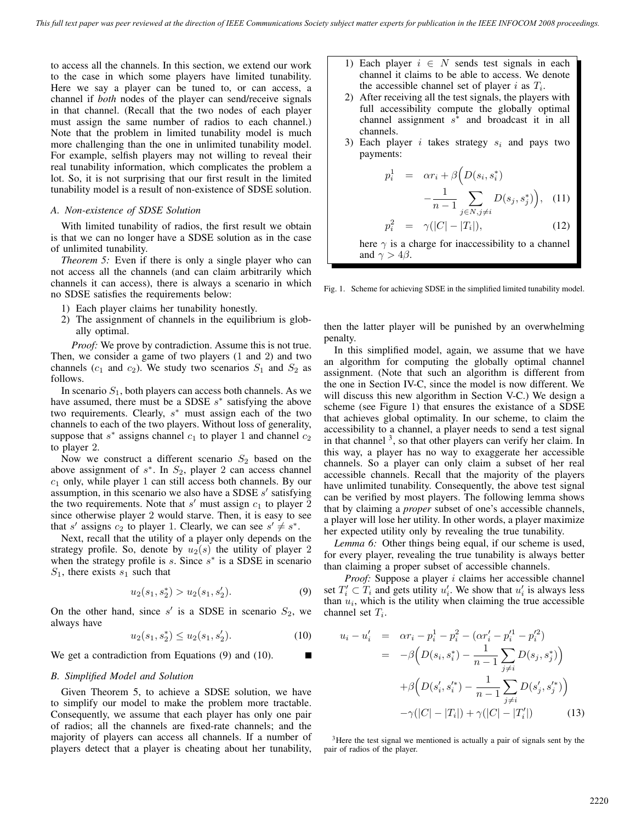to access all the channels. In this section, we extend our work to the case in which some players have limited tunability. Here we say a player can be tuned to, or can access, a channel if *both* nodes of the player can send/receive signals in that channel. (Recall that the two nodes of each player must assign the same number of radios to each channel.) Note that the problem in limited tunability model is much more challenging than the one in unlimited tunability model. For example, selfish players may not willing to reveal their real tunability information, which complicates the problem a lot. So, it is not surprising that our first result in the limited tunability model is a result of non-existence of SDSE solution.

#### *A. Non-existence of SDSE Solution*

With limited tunability of radios, the first result we obtain is that we can no longer have a SDSE solution as in the case of unlimited tunability.

*Theorem 5:* Even if there is only a single player who can not access all the channels (and can claim arbitrarily which channels it can access), there is always a scenario in which no SDSE satisfies the requirements below:

- 1) Each player claims her tunability honestly.
- 2) The assignment of channels in the equilibrium is globally optimal.

*Proof:* We prove by contradiction. Assume this is not true. Then, we consider a game of two players (1 and 2) and two channels ( $c_1$  and  $c_2$ ). We study two scenarios  $S_1$  and  $S_2$  as follows.

In scenario  $S_1$ , both players can access both channels. As we have assumed, there must be a SDSE  $s^*$  satisfying the above two requirements. Clearly,  $s^*$  must assign each of the two channels to each of the two players. Without loss of generality, suppose that s<sup>\*</sup> assigns channel  $c_1$  to player 1 and channel  $c_2$ to player 2.

Now we construct a different scenario  $S_2$  based on the above assignment of  $s^*$ . In  $S_2$ , player 2 can access channel  $c_1$  only, while player 1 can still access both channels. By our assumption, in this scenario we also have a SDSE  $s'$  satisfying the two requirements. Note that  $s'$  must assign  $c_1$  to player 2 since otherwise player 2 would starve. Then, it is easy to see that s' assigns  $c_2$  to player 1. Clearly, we can see  $s' \neq s^*$ .

Next, recall that the utility of a player only depends on the strategy profile. So, denote by  $u_2(s)$  the utility of player 2 when the strategy profile is s. Since  $s^*$  is a SDSE in scenario  $S_1$ , there exists  $s_1$  such that

$$
u_2(s_1, s_2^*) > u_2(s_1, s_2').
$$
\n(9)

On the other hand, since  $s'$  is a SDSE in scenario  $S_2$ , we always have

$$
u_2(s_1, s_2^*) \le u_2(s_1, s_2'). \tag{10}
$$

We get a contradiction from Equations (9) and (10).

#### *B. Simplified Model and Solution*

Given Theorem 5, to achieve a SDSE solution, we have to simplify our model to make the problem more tractable. Consequently, we assume that each player has only one pair of radios; all the channels are fixed-rate channels; and the majority of players can access all channels. If a number of players detect that a player is cheating about her tunability,

- 1) Each player  $i \in N$  sends test signals in each channel it claims to be able to access. We denote the accessible channel set of player i as T*i*.
- 2) After receiving all the test signals, the players with full accessibility compute the globally optimal channel assignment  $s<sup>*</sup>$  and broadcast it in all channels.
- 3) Each player i takes strategy s*<sup>i</sup>* and pays two payments:

$$
p_i^1 = \alpha r_i + \beta \Big( D(s_i, s_i^*) - \frac{1}{n-1} \sum_{j \in N, j \neq i} D(s_j, s_j^*) \Big), \quad (11)
$$

$$
p_i^2 = \gamma (|C| - |T_i|), \quad (12)
$$

here  $\gamma$  is a charge for inaccessibility to a channel and  $\gamma > 4\beta$ .

Fig. 1. Scheme for achieving SDSE in the simplified limited tunability model.

then the latter player will be punished by an overwhelming penalty.

In this simplified model, again, we assume that we have an algorithm for computing the globally optimal channel assignment. (Note that such an algorithm is different from the one in Section IV-C, since the model is now different. We will discuss this new algorithm in Section V-C.) We design a scheme (see Figure 1) that ensures the existance of a SDSE that achieves global optimality. In our scheme, to claim the accessibility to a channel, a player needs to send a test signal in that channel  $<sup>3</sup>$ , so that other players can verify her claim. In</sup> this way, a player has no way to exaggerate her accessible channels. So a player can only claim a subset of her real accessible channels. Recall that the majority of the players have unlimited tunability. Consequently, the above test signal can be verified by most players. The following lemma shows that by claiming a *proper* subset of one's accessible channels, a player will lose her utility. In other words, a player maximize her expected utility only by revealing the true tunability.

*Lemma 6:* Other things being equal, if our scheme is used, for every player, revealing the true tunability is always better than claiming a proper subset of accessible channels.

*Proof:* Suppose a player *i* claims her accessible channel set  $T_i' \subset T_i$  and gets utility  $u_i'$ . We show that  $u_i'$  is always less than  $u_i$ , which is the utility when claiming the true accessible channel set T*i*.

$$
u_i - u'_i = \alpha r_i - p_i^1 - p_i^2 - (\alpha r'_i - p'^1_i - p'^2_i)
$$
  
= 
$$
-\beta \Big( D(s_i, s_i^*) - \frac{1}{n-1} \sum_{j \neq i} D(s_j, s_j^*) \Big)
$$
  
+ 
$$
\beta \Big( D(s'_i, s'^*_i) - \frac{1}{n-1} \sum_{j \neq i} D(s'_j, s'^*_j) \Big)
$$
  
-
$$
\gamma (|C| - |T_i|) + \gamma (|C| - |T'_i|) \qquad (13)
$$

 $3$ Here the test signal we mentioned is actually a pair of signals sent by the pair of radios of the player.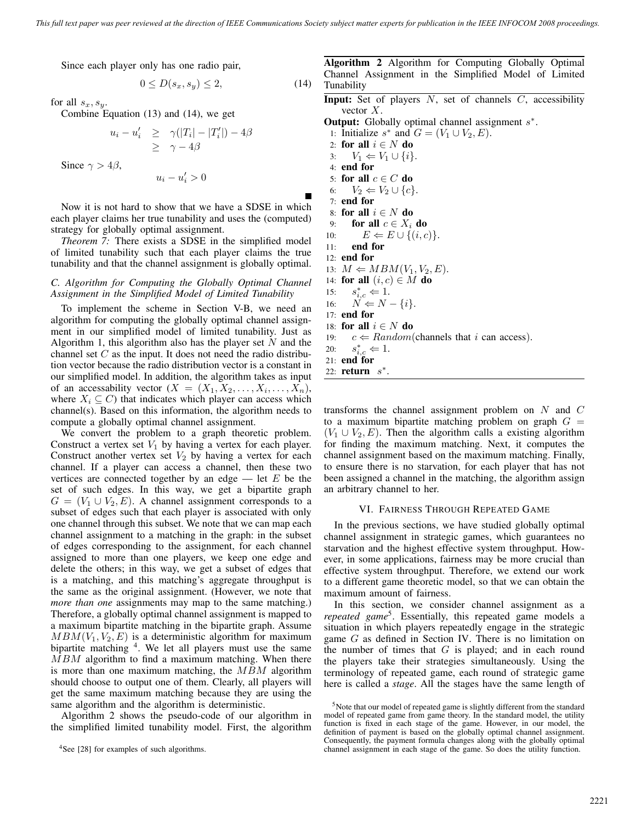Since each player only has one radio pair,

$$
0 \le D(s_x, s_y) \le 2,\tag{14}
$$

for all  $s_x, s_y$ .

Combine Equation (13) and (14), we get

$$
u_i - u'_i \geq \gamma(|T_i| - |T'_i|) - 4\beta
$$
  
\n
$$
\geq \gamma - 4\beta
$$
  
\nSince  $\gamma > 4\beta$ ,

$$
u_i - u'_i > 0
$$

Now it is not hard to show that we have a SDSE in which each player claims her true tunability and uses the (computed) strategy for globally optimal assignment.

*Theorem 7:* There exists a SDSE in the simplified model of limited tunability such that each player claims the true tunability and that the channel assignment is globally optimal.

## *C. Algorithm for Computing the Globally Optimal Channel Assignment in the Simplified Model of Limited Tunability*

To implement the scheme in Section V-B, we need an algorithm for computing the globally optimal channel assignment in our simplified model of limited tunability. Just as Algorithm 1, this algorithm also has the player set  $N$  and the channel set  $C$  as the input. It does not need the radio distribution vector because the radio distribution vector is a constant in our simplified model. In addition, the algorithm takes as input of an accessability vector  $(X = (X_1, X_2, \ldots, X_i, \ldots, X_n))$ , where  $X_i \subseteq C$ ) that indicates which player can access which channel(s). Based on this information, the algorithm needs to compute a globally optimal channel assignment.

We convert the problem to a graph theoretic problem. Construct a vertex set  $V_1$  by having a vertex for each player. Construct another vertex set  $V_2$  by having a vertex for each channel. If a player can access a channel, then these two vertices are connected together by an edge  $-$  let E be the set of such edges. In this way, we get a bipartite graph  $G = (V_1 \cup V_2, E)$ . A channel assignment corresponds to a subset of edges such that each player is associated with only one channel through this subset. We note that we can map each channel assignment to a matching in the graph: in the subset of edges corresponding to the assignment, for each channel assigned to more than one players, we keep one edge and delete the others; in this way, we get a subset of edges that is a matching, and this matching's aggregate throughput is the same as the original assignment. (However, we note that *more than one* assignments may map to the same matching.) Therefore, a globally optimal channel assignment is mapped to a maximum bipartite matching in the bipartite graph. Assume  $MBM(V_1, V_2, E)$  is a deterministic algorithm for maximum bipartite matching  $4$ . We let all players must use the same  $MBM$  algorithm to find a maximum matching. When there is more than one maximum matching, the MBM algorithm should choose to output one of them. Clearly, all players will get the same maximum matching because they are using the same algorithm and the algorithm is deterministic.

Algorithm 2 shows the pseudo-code of our algorithm in the simplified limited tunability model. First, the algorithm

**Algorithm 2** Algorithm for Computing Globally Optimal Channel Assignment in the Simplified Model of Limited Tunability

**Input:** Set of players N, set of channels C, accessibility vector  $X$ .

**Output:** Globally optimal channel assignment  $s^*$ .

- 1: Initialize  $s^*$  and  $G = (V_1 \cup V_2, E)$ .
- 2: **for all**  $i \in N$  **do**
- $3: V_1 \leftarrow V_1 \cup \{i\}.$
- 4: **end for**
- 5: **for all**  $c \in C$  **do** 6:  $V_2 \leftarrow V_2 \cup \{c\}.$
- 7: **end for**
- 8: **for all**  $i \in N$  **do**
- 9: **for all**  $c \in X_i$  **do**
- 10:  $E \Leftarrow E \cup \{(i, c)\}.$
- 11: **end for**
- 12: **end for**
- 13:  $M \leftarrow MBM(V_1, V_2, E)$ .
- 14: **for all**  $(i, c) \in M$  **do**
- 15:  $s_{i,c}^*$   $\Leftarrow$  1.
- 16:  $N \Leftarrow N \{i\}.$
- 17: **end for**
- 18: **for all**  $i \in N$  **do**
- 19:  $c \leftarrow Random(\text{channels that } i \text{ can access}).$
- 20:  $s_{i,c}^*$   $\Leftarrow$  1.
- 21: **end for**
- 22: **return** s∗.

transforms the channel assignment problem on  $N$  and  $C$ to a maximum bipartite matching problem on graph  $G =$  $(V_1 \cup V_2, E)$ . Then the algorithm calls a existing algorithm for finding the maximum matching. Next, it computes the channel assignment based on the maximum matching. Finally, to ensure there is no starvation, for each player that has not been assigned a channel in the matching, the algorithm assign an arbitrary channel to her.

#### VI. FAIRNESS THROUGH REPEATED GAME

In the previous sections, we have studied globally optimal channel assignment in strategic games, which guarantees no starvation and the highest effective system throughput. However, in some applications, fairness may be more crucial than effective system throughput. Therefore, we extend our work to a different game theoretic model, so that we can obtain the maximum amount of fairness.

In this section, we consider channel assignment as a *repeated game*<sup>5</sup>. Essentially, this repeated game models a situation in which players repeatedly engage in the strategic game G as defined in Section IV. There is no limitation on the number of times that  $G$  is played; and in each round the players take their strategies simultaneously. Using the terminology of repeated game, each round of strategic game here is called a *stage*. All the stages have the same length of

<sup>4</sup>See [28] for examples of such algorithms.

<sup>&</sup>lt;sup>5</sup>Note that our model of repeated game is slightly different from the standard model of repeated game from game theory. In the standard model, the utility function is fixed in each stage of the game. However, in our model, the definition of payment is based on the globally optimal channel assignment. Consequently, the payment formula changes along with the globally optimal channel assignment in each stage of the game. So does the utility function.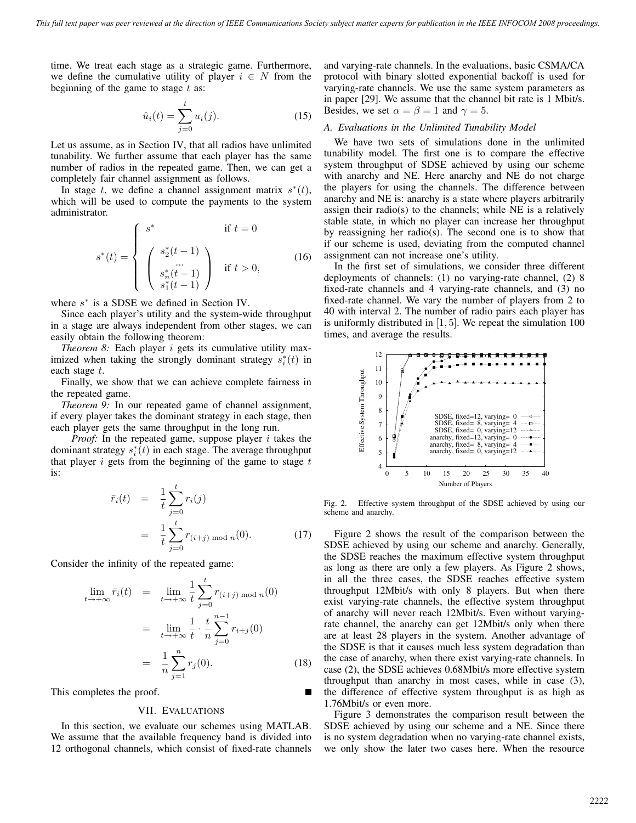time. We treat each stage as a strategic game. Furthermore, we define the cumulative utility of player  $i \in N$  from the beginning of the game to stage  $t$  as:

$$
\hat{u}_i(t) = \sum_{j=0}^t u_i(j).
$$
 (15)

Let us assume, as in Section IV, that all radios have unlimited tunability. We further assume that each player has the same number of radios in the repeated game. Then, we can get a completely fair channel assignment as follows.

In stage t, we define a channel assignment matrix  $s^*(t)$ , which will be used to compute the payments to the system administrator.

$$
s^*(t) = \begin{cases} s^* & \text{if } t = 0\\ \begin{pmatrix} s_2^*(t-1) \\ \dots \\ s_n^*(t-1) \\ s_1^*(t-1) \end{pmatrix} & \text{if } t > 0, \end{cases}
$$
(16)

where  $s^*$  is a SDSE we defined in Section IV.

Since each player's utility and the system-wide throughput in a stage are always independent from other stages, we can easily obtain the following theorem:

*Theorem 8:* Each player i gets its cumulative utility maximized when taking the strongly dominant strategy  $s_i^*(t)$  in each stage t.

Finally, we show that we can achieve complete fairness in the repeated game.

*Theorem 9:* In our repeated game of channel assignment, if every player takes the dominant strategy in each stage, then each player gets the same throughput in the long run.

*Proof:* In the repeated game, suppose player  $i$  takes the dominant strategy  $s_i^*(t)$  in each stage. The average throughput that player  $i$  gets from the beginning of the game to stage  $t$ is:

$$
\begin{aligned}\n\bar{r}_i(t) &= \frac{1}{t} \sum_{j=0}^t r_i(j) \\
&= \frac{1}{t} \sum_{j=0}^t r_{(i+j) \bmod n}(0).\n\end{aligned} \tag{17}
$$

Consider the infinity of the repeated game:

$$
\lim_{t \to +\infty} \bar{r}_i(t) = \lim_{t \to +\infty} \frac{1}{t} \sum_{j=0}^t r_{(i+j) \mod n}(0)
$$

$$
= \lim_{t \to +\infty} \frac{1}{t} \cdot \frac{t}{n} \sum_{j=0}^{n-1} r_{i+j}(0)
$$

$$
= \frac{1}{n} \sum_{j=1}^n r_j(0). \tag{18}
$$

This completes the proof.

## VII. EVALUATIONS

In this section, we evaluate our schemes using MATLAB. We assume that the available frequency band is divided into 12 orthogonal channels, which consist of fixed-rate channels

and varying-rate channels. In the evaluations, basic CSMA/CA protocol with binary slotted exponential backoff is used for varying-rate channels. We use the same system parameters as in paper [29]. We assume that the channel bit rate is 1 Mbit/s. Besides, we set  $\alpha = \beta = 1$  and  $\gamma = 5$ .

#### *A. Evaluations in the Unlimited Tunability Model*

We have two sets of simulations done in the unlimited tunability model. The first one is to compare the effective system throughput of SDSE achieved by using our scheme with anarchy and NE. Here anarchy and NE do not charge the players for using the channels. The difference between anarchy and NE is: anarchy is a state where players arbitrarily assign their radio(s) to the channels; while NE is a relatively stable state, in which no player can increase her throughput by reassigning her radio(s). The second one is to show that if our scheme is used, deviating from the computed channel assignment can not increase one's utility.

In the first set of simulations, we consider three different deployments of channels: (1) no varying-rate channel, (2) 8 fixed-rate channels and 4 varying-rate channels, and (3) no fixed-rate channel. We vary the number of players from 2 to 40 with interval 2. The number of radio pairs each player has is uniformly distributed in  $[1, 5]$ . We repeat the simulation 100 times, and average the results.



Fig. 2. Effective system throughput of the SDSE achieved by using our scheme and anarchy.

Figure 2 shows the result of the comparison between the SDSE achieved by using our scheme and anarchy. Generally, the SDSE reaches the maximum effective system throughput as long as there are only a few players. As Figure 2 shows, in all the three cases, the SDSE reaches effective system throughput 12Mbit/s with only 8 players. But when there exist varying-rate channels, the effective system throughput of anarchy will never reach 12Mbit/s. Even without varyingrate channel, the anarchy can get 12Mbit/s only when there are at least 28 players in the system. Another advantage of the SDSE is that it causes much less system degradation than the case of anarchy, when there exist varying-rate channels. In case (2), the SDSE achieves 0.68Mbit/s more effective system throughput than anarchy in most cases, while in case (3), the difference of effective system throughput is as high as 1.76Mbit/s or even more.

Figure 3 demonstrates the comparison result between the SDSE achieved by using our scheme and a NE. Since there is no system degradation when no varying-rate channel exists, we only show the later two cases here. When the resource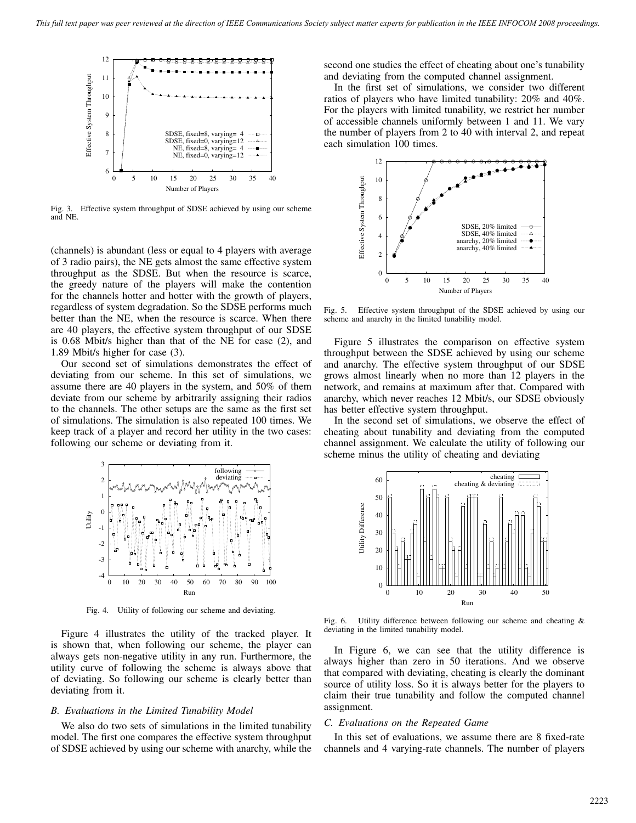

Fig. 3. Effective system throughput of SDSE achieved by using our scheme and NE.

(channels) is abundant (less or equal to 4 players with average of 3 radio pairs), the NE gets almost the same effective system throughput as the SDSE. But when the resource is scarce, the greedy nature of the players will make the contention for the channels hotter and hotter with the growth of players, regardless of system degradation. So the SDSE performs much better than the NE, when the resource is scarce. When there are 40 players, the effective system throughput of our SDSE is 0.68 Mbit/s higher than that of the NE for case (2), and 1.89 Mbit/s higher for case (3).

Our second set of simulations demonstrates the effect of deviating from our scheme. In this set of simulations, we assume there are 40 players in the system, and 50% of them deviate from our scheme by arbitrarily assigning their radios to the channels. The other setups are the same as the first set of simulations. The simulation is also repeated 100 times. We keep track of a player and record her utility in the two cases: following our scheme or deviating from it.



Fig. 4. Utility of following our scheme and deviating.

Figure 4 illustrates the utility of the tracked player. It is shown that, when following our scheme, the player can always gets non-negative utility in any run. Furthermore, the utility curve of following the scheme is always above that of deviating. So following our scheme is clearly better than deviating from it.

### *B. Evaluations in the Limited Tunability Model*

We also do two sets of simulations in the limited tunability model. The first one compares the effective system throughput of SDSE achieved by using our scheme with anarchy, while the second one studies the effect of cheating about one's tunability and deviating from the computed channel assignment.

In the first set of simulations, we consider two different ratios of players who have limited tunability: 20% and 40%. For the players with limited tunability, we restrict her number of accessible channels uniformly between 1 and 11. We vary the number of players from 2 to 40 with interval 2, and repeat each simulation 100 times.



Fig. 5. Effective system throughput of the SDSE achieved by using our scheme and anarchy in the limited tunability model.

Figure 5 illustrates the comparison on effective system throughput between the SDSE achieved by using our scheme and anarchy. The effective system throughput of our SDSE grows almost linearly when no more than 12 players in the network, and remains at maximum after that. Compared with anarchy, which never reaches 12 Mbit/s, our SDSE obviously has better effective system throughput.

In the second set of simulations, we observe the effect of cheating about tunability and deviating from the computed channel assignment. We calculate the utility of following our scheme minus the utility of cheating and deviating



Fig. 6. Utility difference between following our scheme and cheating & deviating in the limited tunability model.

In Figure 6, we can see that the utility difference is always higher than zero in 50 iterations. And we observe that compared with deviating, cheating is clearly the dominant source of utility loss. So it is always better for the players to claim their true tunability and follow the computed channel assignment.

#### *C. Evaluations on the Repeated Game*

In this set of evaluations, we assume there are 8 fixed-rate channels and 4 varying-rate channels. The number of players